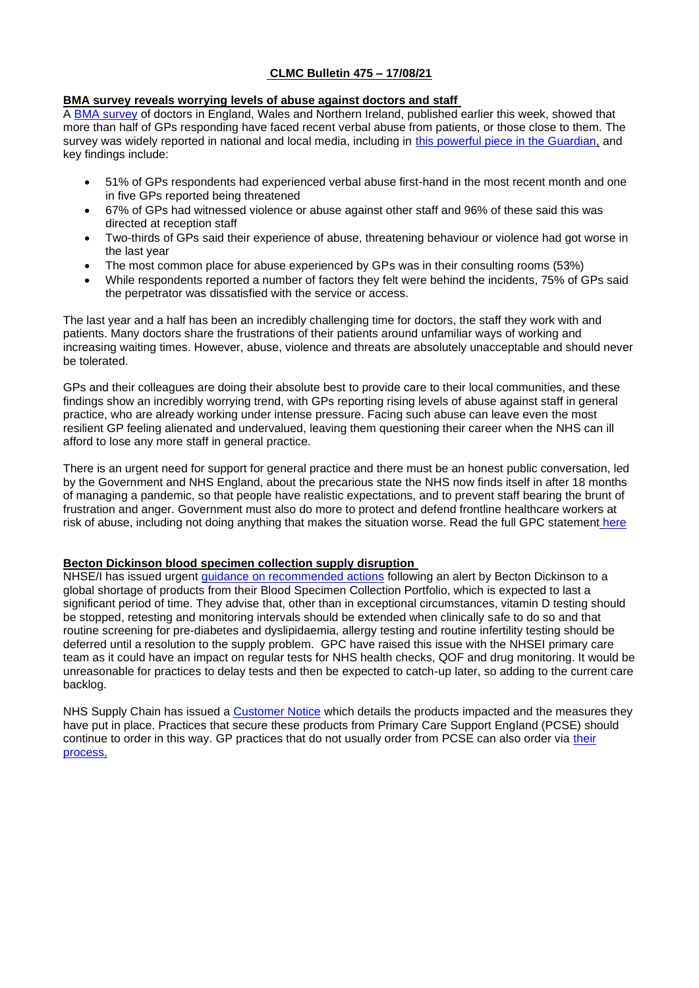# **CLMC Bulletin 475 – 17/08/21**

# **BMA survey reveals worrying levels of abuse against doctors and staff**

A [BMA survey](https://www.bma.org.uk/media/4383/bma-doctor-abuse-survey-july-21-setting.pdf) of doctors in England, Wales and Northern Ireland, published earlier this week, showed that more than half of GPs responding have faced recent verbal abuse from patients, or those close to them. The survey was widely reported in national and local media, including in [this powerful piece in the Guardian,](https://www.theguardian.com/society/2021/aug/10/over-a-third-of-nhs-staff-experiencing-verbal-abuse-and-threats-says-survey) and key findings include:

- 51% of GPs respondents had experienced verbal abuse first-hand in the most recent month and one in five GPs reported being threatened
- 67% of GPs had witnessed violence or abuse against other staff and 96% of these said this was directed at reception staff
- Two-thirds of GPs said their experience of abuse, threatening behaviour or violence had got worse in the last year
- The most common place for abuse experienced by GPs was in their consulting rooms (53%)
- While respondents reported a number of factors they felt were behind the incidents, 75% of GPs said the perpetrator was dissatisfied with the service or access.

The last year and a half has been an incredibly challenging time for doctors, the staff they work with and patients. Many doctors share the frustrations of their patients around unfamiliar ways of working and increasing waiting times. However, abuse, violence and threats are absolutely unacceptable and should never be tolerated.

GPs and their colleagues are doing their absolute best to provide care to their local communities, and these findings show an incredibly worrying trend, with GPs reporting rising levels of abuse against staff in general practice, who are already working under intense pressure. Facing such abuse can leave even the most resilient GP feeling alienated and undervalued, leaving them questioning their career when the NHS can ill afford to lose any more staff in general practice.

There is an urgent need for support for general practice and there must be an honest public conversation, led by the Government and NHS England, about the precarious state the NHS now finds itself in after 18 months of managing a pandemic, so that people have realistic expectations, and to prevent staff bearing the brunt of frustration and anger. Government must also do more to protect and defend frontline healthcare workers at risk of abuse, including not doing anything that makes the situation worse. Read the full GPC statement [here](https://www.bma.org.uk/bma-media-centre/bma-urges-public-to-be-kind-as-survey-reveals-worrying-levels-of-abuse-against-doctors-and-colleagues)

# **Becton Dickinson blood specimen collection supply disruption**

NHSE/I has issued urgent [guidance on recommended actions](https://www.england.nhs.uk/publication/becton-dickinson-blood-specimen-collection-portfolio-supply-disruption/) following an alert by Becton Dickinson to a global shortage of products from their Blood Specimen Collection Portfolio, which is expected to last a significant period of time. They advise that, other than in exceptional circumstances, vitamin D testing should be stopped, retesting and monitoring intervals should be extended when clinically safe to do so and that routine screening for pre-diabetes and dyslipidaemia, allergy testing and routine infertility testing should be deferred until a resolution to the supply problem. GPC have raised this issue with the NHSEI primary care team as it could have an impact on regular tests for NHS health checks, QOF and drug monitoring. It would be unreasonable for practices to delay tests and then be expected to catch-up later, so adding to the current care backlog.

NHS Supply Chain has issued a [Customer Notice](https://www.supplychain.nhs.uk/icn/becton-dickinson-uk-ltd-blood-collection/) which details the products impacted and the measures they have put in place. Practices that secure these products from Primary Care Support England (PCSE) should continue to order in this way. GP practices that do not usually order from PCSE can also order via [their](https://pcse.england.nhs.uk/services/supplies/)  [process.](https://pcse.england.nhs.uk/services/supplies/)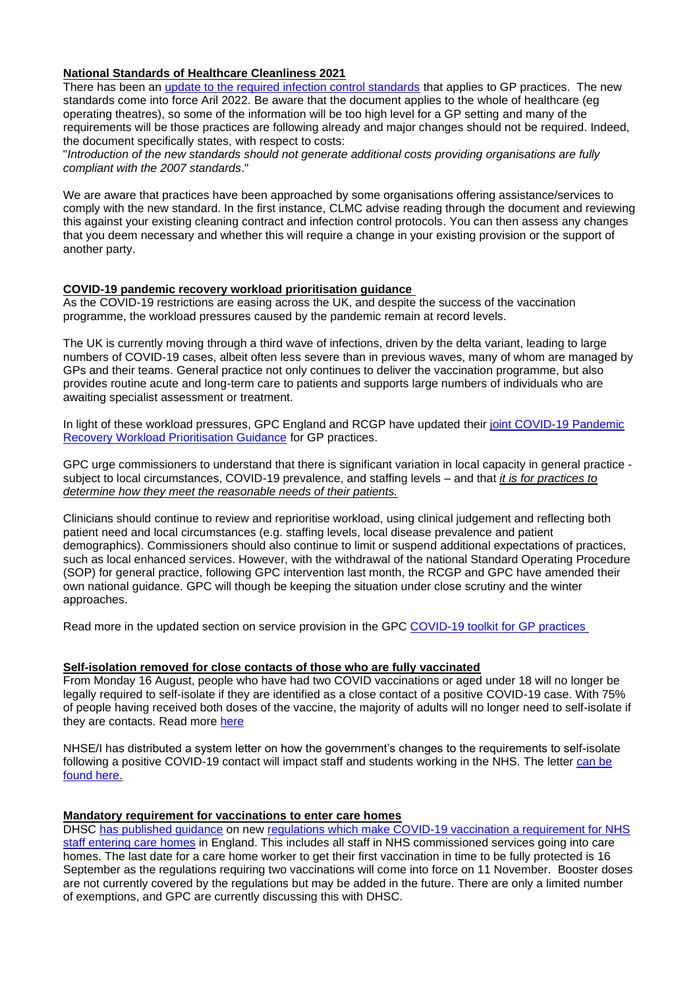### **National Standards of Healthcare Cleanliness 2021**

There has been an [update to the required infection control standards](https://www.england.nhs.uk/wp-content/uploads/2021/04/B0271-national-standards-of-healthcare-cleanliness-2021.pdf) that applies to GP practices. The new standards come into force Aril 2022. Be aware that the document applies to the whole of healthcare (eg operating theatres), so some of the information will be too high level for a GP setting and many of the requirements will be those practices are following already and major changes should not be required. Indeed, the document specifically states, with respect to costs:

"*Introduction of the new standards should not generate additional costs providing organisations are fully compliant with the 2007 standards*."

We are aware that practices have been approached by some organisations offering assistance/services to comply with the new standard. In the first instance, CLMC advise reading through the document and reviewing this against your existing cleaning contract and infection control protocols. You can then assess any changes that you deem necessary and whether this will require a change in your existing provision or the support of another party.

#### **COVID-19 pandemic recovery workload prioritisation guidance**

As the COVID-19 restrictions are easing across the UK, and despite the success of the vaccination programme, the workload pressures caused by the pandemic remain at record levels.

The UK is currently moving through a third wave of infections, driven by the delta variant, leading to large numbers of COVID-19 cases, albeit often less severe than in previous waves, many of whom are managed by GPs and their teams. General practice not only continues to deliver the vaccination programme, but also provides routine acute and long-term care to patients and supports large numbers of individuals who are awaiting specialist assessment or treatment.

In light of these workload pressures, GPC England and RCGP have updated their [joint COVID-19 Pandemic](https://www.bma.org.uk/media/4386/bma-rcgp-covid-workload-prioritisation-aug-2021.pdf)  [Recovery Workload Prioritisation Guidance](https://www.bma.org.uk/media/4386/bma-rcgp-covid-workload-prioritisation-aug-2021.pdf) for GP practices.

GPC urge commissioners to understand that there is significant variation in local capacity in general practice subject to local circumstances, COVID-19 prevalence, and staffing levels – and that *it is for practices to determine how they meet the reasonable needs of their patients.*

Clinicians should continue to review and reprioritise workload, using clinical judgement and reflecting both patient need and local circumstances (e.g. staffing levels, local disease prevalence and patient demographics). Commissioners should also continue to limit or suspend additional expectations of practices, such as local enhanced services. However, with the withdrawal of the national Standard Operating Procedure (SOP) for general practice, following GPC intervention last month, the RCGP and GPC have amended their own national guidance. GPC will though be keeping the situation under close scrutiny and the winter approaches.

Read more in the updated section on service provision in the GPC [COVID-19 toolkit for GP practices](https://www.bma.org.uk/advice-and-support/covid-19/gp-practices/covid-19-toolkit-for-gps-and-gp-practices/service-provision)

#### **Self-isolation removed for close contacts of those who are fully vaccinated**

From Monday 16 August, people who have had two COVID vaccinations or aged under 18 will no longer be legally required to self-isolate if they are identified as a close contact of a positive COVID-19 case. With 75% of people having received both doses of the vaccine, the majority of adults will no longer need to self-isolate if they are contacts. Read more [here](https://www.gov.uk/government/news/self-isolation-removed-for-double-jabbed-close-contacts-from-16-august)

NHSE/I has distributed a system letter on how the government's changes to the requirements to self-isolate following a positive COVID-19 contact will impact staff and students working in the NHS. The letter can be [found here.](http://tracking.vuelio.co.uk/tracking/click?d=1lBqc8cNNEtl30-Hfp-UAdskCzPNjWiVFBLii_OzGwHk9OyS6jR5i3t0cFnjCW9RyUpCbjkhIx3opdfKRPoEMJC9x0iGQloqKS6UI9rdr5TPw39L6Xmn9GrtYzcooIJ3uWBIQfj1IUNOk8YTBMuTDDsFVRYGw5egiiI-_BbQeBsp3iLGIezBLmN2pN9_5W0uJFJ-ihtJyoGpFfJqPVAvzyeYuxwFzqJ0X3rpaU_NUy-2g85AN_qX2d0dePSntss_bkaehKqSzqFY4uXzf4XWFaSoUBu873xko1CXnOF32tv1EzUipxoDAZ6EFnt2QQpXvw2)

#### **Mandatory requirement for vaccinations to enter care homes**

DHSC [has published guidance](https://generalpracticebulletin.cmail20.com/t/d-l-aljhuik-juxdhitut-t/) on new [regulations which make COVID-19 vaccination a requirement for NHS](https://generalpracticebulletin.cmail20.com/t/d-l-aljhuik-juxdhitut-i/)  [staff entering care homes](https://generalpracticebulletin.cmail20.com/t/d-l-aljhuik-juxdhitut-i/) in England. This includes all staff in NHS commissioned services going into care homes. The last date for a care home worker to get their first vaccination in time to be fully protected is 16 September as the regulations requiring two vaccinations will come into force on 11 November. Booster doses are not currently covered by the regulations but may be added in the future. There are only a limited number of exemptions, and GPC are currently discussing this with DHSC.